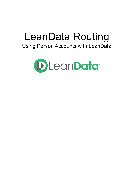# LeanData Routing

# Using Person Accounts with LeanData

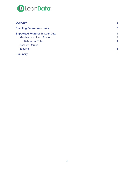

| <b>Overview</b>                       | $\mathbf{3}$   |
|---------------------------------------|----------------|
| <b>Enabling Person Accounts</b>       | 3              |
| <b>Supported Features in LeanData</b> | 4              |
| <b>Matching and Lead Router</b>       | $\overline{4}$ |
| <b>Tiebreaker Rules</b>               | $\overline{4}$ |
| <b>Account Router</b>                 | 5              |
| <b>Tagging</b>                        | 5              |
| <b>Summary</b>                        | 5              |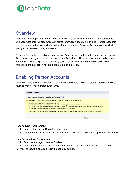

## <span id="page-2-0"></span>**Overview**

LeanData has support for Person Accounts if you are selling B2C instead of or in addition to Business Accounts. A Person Account stores information about an individual. Person Accounts are used when selling to individuals rather than companies. Business Accounts are used when selling to businesses or Organizations.

A Person Account is a combination of specific Account and Contact fields into 1 record. Person Accounts are recognized as Account objects in Salesforce. These Accounts need to be enabled in your Salesforce Organization and they cannot disabled once they have been enabled. The process to enable Person Accounts requires multiple steps.

## <span id="page-2-1"></span>Enabling Person Accounts

Once you enable Person Accounts, they cannot be disabled. Per Salesforce, these conditions must be met to enable Person Accounts.

| <b>Person Accounts</b>                                                                                                                                                                                                                                                                                                                                                                                                                                                                                                                                                   |
|--------------------------------------------------------------------------------------------------------------------------------------------------------------------------------------------------------------------------------------------------------------------------------------------------------------------------------------------------------------------------------------------------------------------------------------------------------------------------------------------------------------------------------------------------------------------------|
| Allow Customer Support to enable Person Accounts                                                                                                                                                                                                                                                                                                                                                                                                                                                                                                                         |
| <b>Important:</b> To use Person Accounts, your org must meet the following requirements.<br>• There's at least one record type for accounts.<br>• Users that have read permission on accounts have read permission on contacts.<br>. Organization-wide default sharing is set so that Contact is "Controlled by Parent" or Account and Contact is "Private".<br>- If profile filtering is enabled, the View All Profiles permission is required.<br>After you've met these requirements, we'll provide information on how to finish enabling Person Accounts. Learn More |
| Edit                                                                                                                                                                                                                                                                                                                                                                                                                                                                                                                                                                     |

#### **Record Type Requirement:**

- 1. Setup > Accounts > Record Types > New.
- 2. Create a new record type for your business. This can be anything (e.g. Person\_Account)

#### **User Permissions Requirement:**

- 1. Setup  $\rightarrow$  Manager Users  $\rightarrow$  Profiles.
- 2. Users that have read permissions on accounts have read permissions on Contacts.

For most cases, this should already be done by default.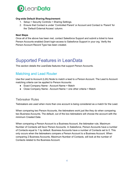

#### **Org-wide Default Sharing Requirement:**

- 1. Setup > Security Controls > Sharing Settings.
- 2. Ensure that Contact is under 'Controlled Parent' or Account and Contact is 'Parent' for the 'Default External Access' column.

#### **Next Steps**

Once all of the above has been met, contact Salesforce Support and submit a ticket to have Person Accounts enabled.Grant login-access to Salesforce Support in your org. Verify the Person Account Record Type has been created.

# <span id="page-3-0"></span>Supported Features in LeanData

<span id="page-3-1"></span>This section details the LeanData features that support Person Accounts.

### Matching and Lead Router

Use the Lead to Account (L2A) Node to match a lead to a Person Account. The Lead to Account matching criteria can be applied to Person Accounts:

- Exact Company Name Account Name = Match
- Close Company Name Account Name + one other criteria = Match

#### <span id="page-3-2"></span>Tiebreaker Rules

Tiebreakers are used when more than one account is being considered as a match for the Lead.

When comparing two Person Accounts, the tiebreakers work just like they do when comparing two Business Accounts. The default, out of the box tiebreakers will choose the account with the minimum Created Date.

When comparing a Person Account to a Business Account, the tiebreaker rule, Maximum Number of Contacts will favor Person Accounts. In Salesforce, Person Accounts have a number of Contacts equal to 1 by default. Business Accounts have a number of Contacts set to 0. This only occurs when the tiebreakers compare a Person Account to a Business Account. When comparing 2 Business Accounts, Maximum Number of Contacts, will look at the number of Contacts related to the Business Account.